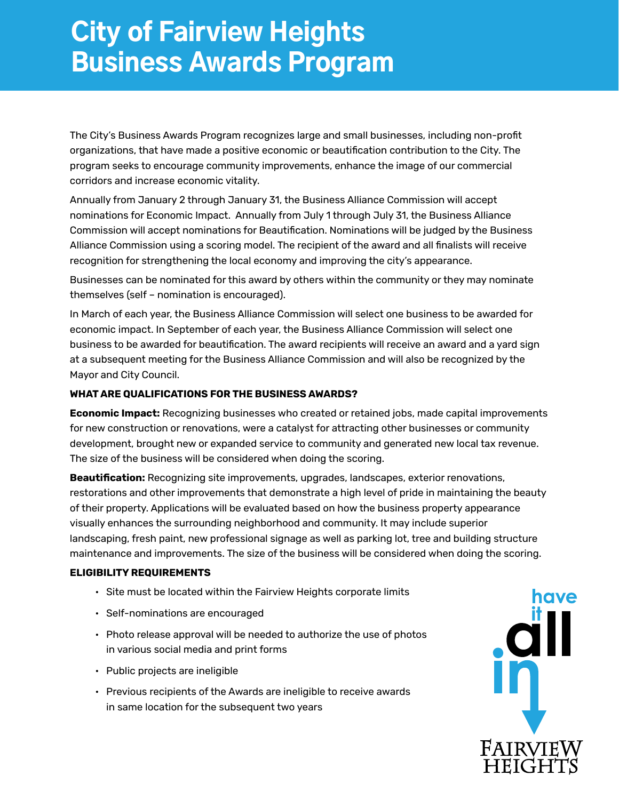## City of Fairview Heights Business Awards Program

The City's Business Awards Program recognizes large and small businesses, including non-profit organizations, that have made a positive economic or beautification contribution to the City. The program seeks to encourage community improvements, enhance the image of our commercial corridors and increase economic vitality.

Annually from January 2 through January 31, the Business Alliance Commission will accept nominations for Economic Impact. Annually from July 1 through July 31, the Business Alliance Commission will accept nominations for Beautification. Nominations will be judged by the Business Alliance Commission using a scoring model. The recipient of the award and all finalists will receive recognition for strengthening the local economy and improving the city's appearance.

Businesses can be nominated for this award by others within the community or they may nominate themselves (self – nomination is encouraged).

In March of each year, the Business Alliance Commission will select one business to be awarded for economic impact. In September of each year, the Business Alliance Commission will select one business to be awarded for beautification. The award recipients will receive an award and a yard sign at a subsequent meeting for the Business Alliance Commission and will also be recognized by the Mayor and City Council.

## **WHAT ARE QUALIFICATIONS FOR THE BUSINESS AWARDS?**

**Economic Impact:** Recognizing businesses who created or retained jobs, made capital improvements for new construction or renovations, were a catalyst for attracting other businesses or community development, brought new or expanded service to community and generated new local tax revenue. The size of the business will be considered when doing the scoring.

**Beautification:** Recognizing site improvements, upgrades, landscapes, exterior renovations, restorations and other improvements that demonstrate a high level of pride in maintaining the beauty of their property. Applications will be evaluated based on how the business property appearance visually enhances the surrounding neighborhood and community. It may include superior landscaping, fresh paint, new professional signage as well as parking lot, tree and building structure maintenance and improvements. The size of the business will be considered when doing the scoring.

## **ELIGIBILITY REQUIREMENTS**

- Site must be located within the Fairview Heights corporate limits
- Self-nominations are encouraged
- Photo release approval will be needed to authorize the use of photos in various social media and print forms
- Public projects are ineligible
- Previous recipients of the Awards are ineligible to receive awards in same location for the subsequent two years